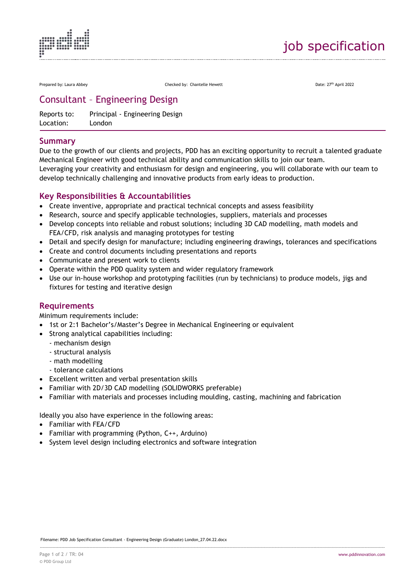

Prepared by: Laura Abbey **Checked by: Chantelle Hewett** Prepared by: Chantelle Hewett Date: 27<sup>th</sup> April 2022

# Consultant – Engineering Design

Reports to: Principal - Engineering Design Location: London

## **Summary**

Due to the growth of our clients and projects, PDD has an exciting opportunity to recruit a talented graduate Mechanical Engineer with good technical ability and communication skills to join our team. Leveraging your creativity and enthusiasm for design and engineering, you will collaborate with our team to develop technically challenging and innovative products from early ideas to production.

### **Key Responsibilities & Accountabilities**

- Create inventive, appropriate and practical technical concepts and assess feasibility
- Research, source and specify applicable technologies, suppliers, materials and processes
- Develop concepts into reliable and robust solutions; including 3D CAD modelling, math models and FEA/CFD, risk analysis and managing prototypes for testing
- Detail and specify design for manufacture; including engineering drawings, tolerances and specifications
- Create and control documents including presentations and reports
- Communicate and present work to clients
- Operate within the PDD quality system and wider regulatory framework
- Use our in-house workshop and prototyping facilities (run by technicians) to produce models, jigs and fixtures for testing and iterative design

#### **Requirements**

Minimum requirements include:

- 1st or 2:1 Bachelor's/Master's Degree in Mechanical Engineering or equivalent
- Strong analytical capabilities including:
	- mechanism design
	- structural analysis
	- math modelling
	- tolerance calculations
- Excellent written and verbal presentation skills
- Familiar with 2D/3D CAD modelling (SOLIDWORKS preferable)
- Familiar with materials and processes including moulding, casting, machining and fabrication

Ideally you also have experience in the following areas:

- Familiar with FEA/CFD
- Familiar with programming (Python, C++, Arduino)
- System level design including electronics and software integration

Filename: PDD Job Specification Consultant - Engineering Design (Graduate) London\_27.04.22.docx